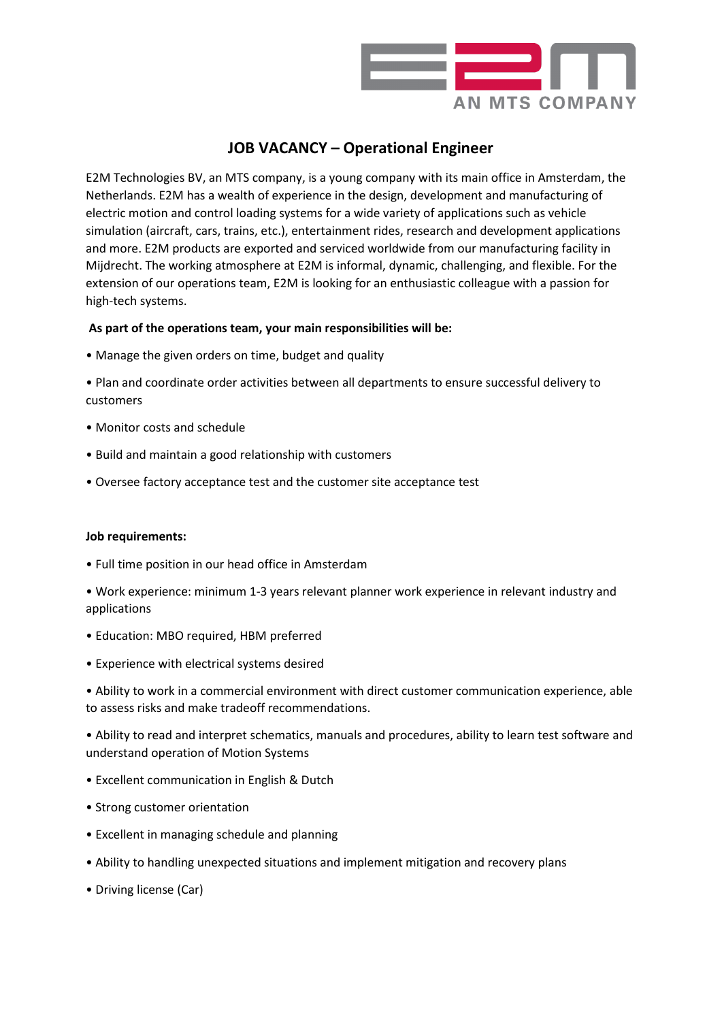

## **JOB VACANCY – Operational Engineer**

E2M Technologies BV, an MTS company, is a young company with its main office in Amsterdam, the Netherlands. E2M has a wealth of experience in the design, development and manufacturing of electric motion and control loading systems for a wide variety of applications such as vehicle simulation (aircraft, cars, trains, etc.), entertainment rides, research and development applications and more. E2M products are exported and serviced worldwide from our manufacturing facility in Mijdrecht. The working atmosphere at E2M is informal, dynamic, challenging, and flexible. For the extension of our operations team, E2M is looking for an enthusiastic colleague with a passion for high-tech systems.

## **As part of the operations team, your main responsibilities will be:**

• Manage the given orders on time, budget and quality

• Plan and coordinate order activities between all departments to ensure successful delivery to customers

- Monitor costs and schedule
- Build and maintain a good relationship with customers
- Oversee factory acceptance test and the customer site acceptance test

## **Job requirements:**

• Full time position in our head office in Amsterdam

• Work experience: minimum 1-3 years relevant planner work experience in relevant industry and applications

- Education: MBO required, HBM preferred
- Experience with electrical systems desired

• Ability to work in a commercial environment with direct customer communication experience, able to assess risks and make tradeoff recommendations.

• Ability to read and interpret schematics, manuals and procedures, ability to learn test software and understand operation of Motion Systems

- Excellent communication in English & Dutch
- Strong customer orientation
- Excellent in managing schedule and planning
- Ability to handling unexpected situations and implement mitigation and recovery plans
- Driving license (Car)